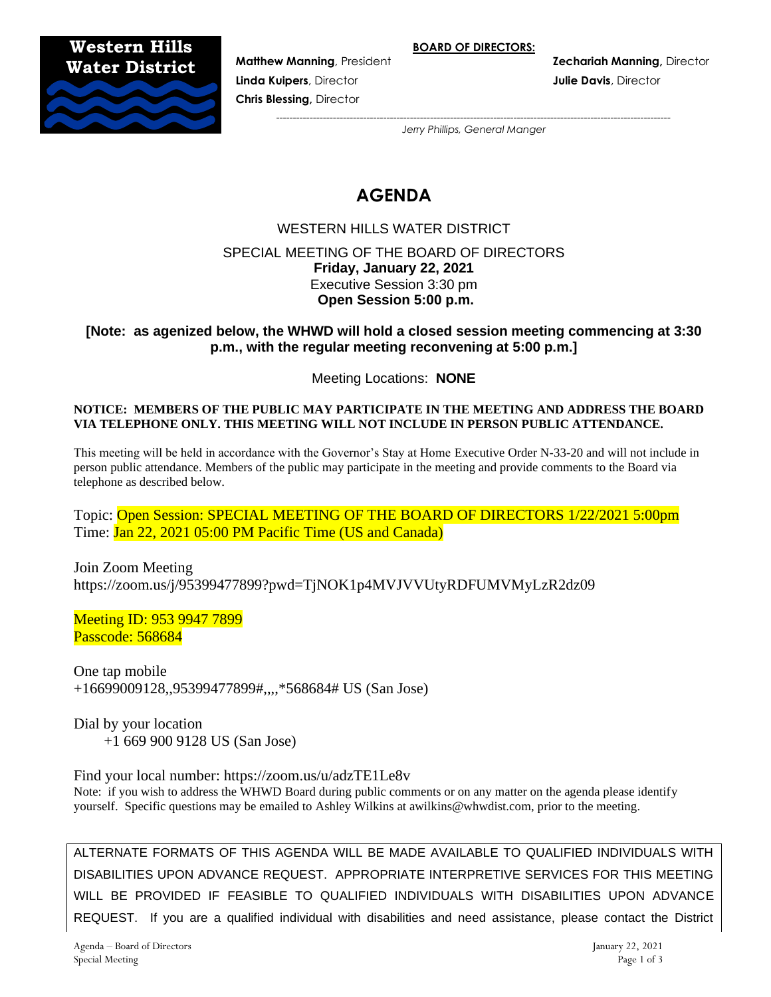**BOARD OF DIRECTORS:**

**Western Hills Water District**



**Linda Kuipers**, Director **Julie Davis**, Director **Chris Blessing,** Director

**Matthew Manning**, President **Zechariah Manning,** Director

*---------------------------------------------------------------------------------------------------------------------- Jerry Phillips, General Manger*

# **AGENDA**

WESTERN HILLS WATER DISTRICT SPECIAL MEETING OF THE BOARD OF DIRECTORS **Friday, January 22, 2021** Executive Session 3:30 pm **Open Session 5:00 p.m.**

**[Note: as agenized below, the WHWD will hold a closed session meeting commencing at 3:30 p.m., with the regular meeting reconvening at 5:00 p.m.]**

Meeting Locations: **NONE**

#### **NOTICE: MEMBERS OF THE PUBLIC MAY PARTICIPATE IN THE MEETING AND ADDRESS THE BOARD VIA TELEPHONE ONLY. THIS MEETING WILL NOT INCLUDE IN PERSON PUBLIC ATTENDANCE.**

This meeting will be held in accordance with the Governor's Stay at Home Executive Order N-33-20 and will not include in person public attendance. Members of the public may participate in the meeting and provide comments to the Board via telephone as described below.

Topic: Open Session: SPECIAL MEETING OF THE BOARD OF DIRECTORS 1/22/2021 5:00pm Time: Jan 22, 2021 05:00 PM Pacific Time (US and Canada)

Join Zoom Meeting https://zoom.us/j/95399477899?pwd=TjNOK1p4MVJVVUtyRDFUMVMyLzR2dz09

Meeting ID: 953 9947 7899 Passcode: 568684

One tap mobile +16699009128,,95399477899#,,,,\*568684# US (San Jose)

Dial by your location +1 669 900 9128 US (San Jose)

Find your local number: https://zoom.us/u/adzTE1Le8v

Note: if you wish to address the WHWD Board during public comments or on any matter on the agenda please identify yourself. Specific questions may be emailed to Ashley Wilkins at awilkins@whwdist.com, prior to the meeting.

ALTERNATE FORMATS OF THIS AGENDA WILL BE MADE AVAILABLE TO QUALIFIED INDIVIDUALS WITH DISABILITIES UPON ADVANCE REQUEST. APPROPRIATE INTERPRETIVE SERVICES FOR THIS MEETING WILL BE PROVIDED IF FEASIBLE TO QUALIFIED INDIVIDUALS WITH DISABILITIES UPON ADVANCE REQUEST. If you are a qualified individual with disabilities and need assistance, please contact the District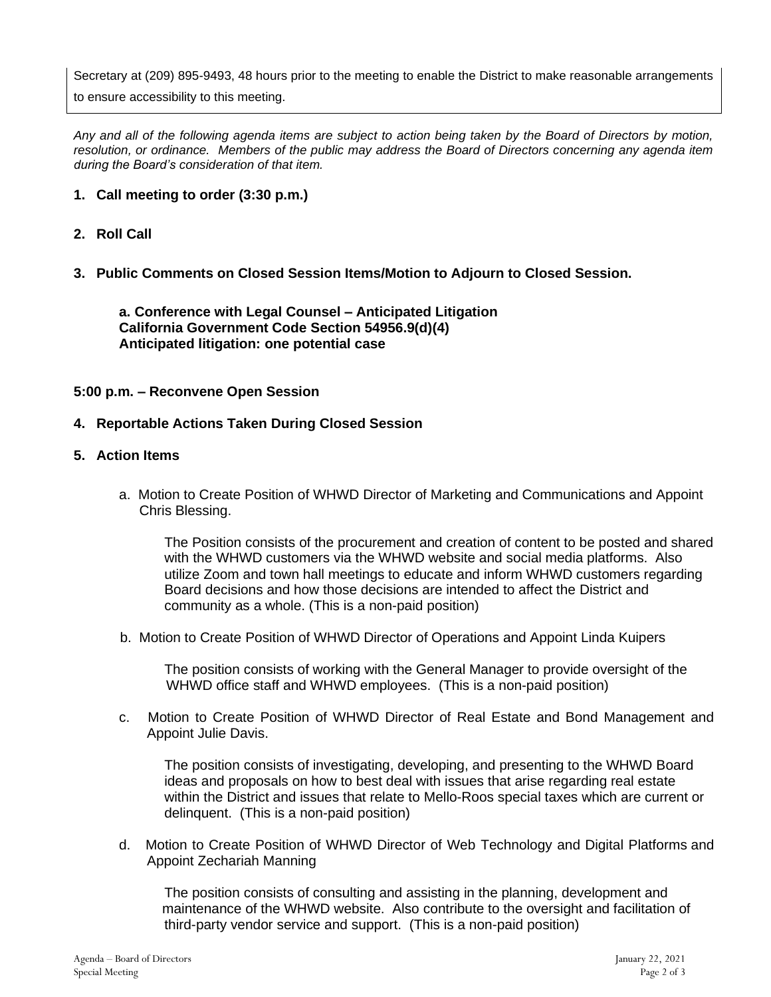Secretary at (209) 895-9493, 48 hours prior to the meeting to enable the District to make reasonable arrangements

to ensure accessibility to this meeting.

*Any and all of the following agenda items are subject to action being taken by the Board of Directors by motion, resolution, or ordinance. Members of the public may address the Board of Directors concerning any agenda item during the Board's consideration of that item.*

# **1. Call meeting to order (3:30 p.m.)**

# **2. Roll Call**

**3. Public Comments on Closed Session Items/Motion to Adjourn to Closed Session.** 

**a. Conference with Legal Counsel – Anticipated Litigation California Government Code Section 54956.9(d)(4) Anticipated litigation: one potential case**

## **5:00 p.m. – Reconvene Open Session**

## **4. Reportable Actions Taken During Closed Session**

### **5. Action Items**

a. Motion to Create Position of WHWD Director of Marketing and Communications and Appoint Chris Blessing.

The Position consists of the procurement and creation of content to be posted and shared with the WHWD customers via the WHWD website and social media platforms. Also utilize Zoom and town hall meetings to educate and inform WHWD customers regarding Board decisions and how those decisions are intended to affect the District and community as a whole. (This is a non-paid position)

b. Motion to Create Position of WHWD Director of Operations and Appoint Linda Kuipers

The position consists of working with the General Manager to provide oversight of the WHWD office staff and WHWD employees. (This is a non-paid position)

c. Motion to Create Position of WHWD Director of Real Estate and Bond Management and Appoint Julie Davis.

The position consists of investigating, developing, and presenting to the WHWD Board ideas and proposals on how to best deal with issues that arise regarding real estate within the District and issues that relate to Mello-Roos special taxes which are current or delinquent. (This is a non-paid position)

d. Motion to Create Position of WHWD Director of Web Technology and Digital Platforms and Appoint Zechariah Manning

The position consists of consulting and assisting in the planning, development and maintenance of the WHWD website. Also contribute to the oversight and facilitation of third-party vendor service and support. (This is a non-paid position)